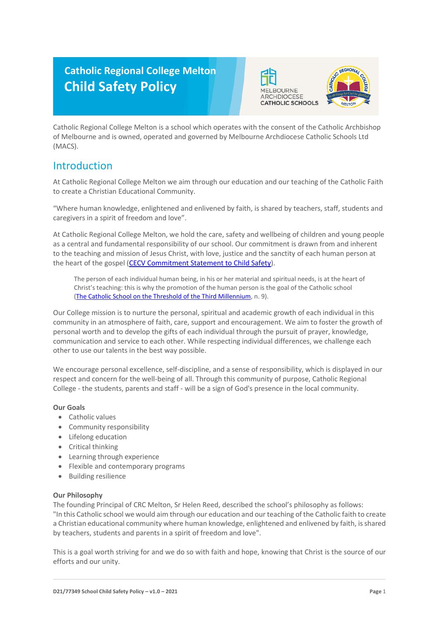# **Catholic Regional College Melton Child Safety Policy**





Catholic Regional College Melton is a school which operates with the consent of the Catholic Archbishop of Melbourne and is owned, operated and governed by Melbourne Archdiocese Catholic Schools Ltd (MACS).

## Introduction

At Catholic Regional College Melton we aim through our education and our teaching of the Catholic Faith to create a Christian Educational Community.

"Where human knowledge, enlightened and enlivened by faith, is shared by teachers, staff, students and caregivers in a spirit of freedom and love".

At Catholic Regional College Melton, we hold the care, safety and wellbeing of children and young people as a central and fundamental responsibility of our school. Our commitment is drawn from and inherent to the teaching and mission of Jesus Christ, with love, justice and the sanctity of each human person at the heart of the gospel [\(CECV Commitment Statement to Child Safety\)](https://www.cecv.catholic.edu.au/getmedia/b5d43278-51b9-4704-b45a-f14e50546a70/Commitment-Statement-A4.aspx).

The person of each individual human being, in his or her material and spiritual needs, is at the heart of Christ's teaching: this is why the promotion of the human person is the goal of the Catholic school [\(The Catholic School on the Threshold of the Third Millennium,](http://www.vatican.va/roman_curia/congregations/ccatheduc/documents/rc_con_ccatheduc_doc_27041998_school2000_en.html) n. 9).

Our College mission is to nurture the personal, spiritual and academic growth of each individual in this community in an atmosphere of faith, care, support and encouragement. We aim to foster the growth of personal worth and to develop the gifts of each individual through the pursuit of prayer, knowledge, communication and service to each other. While respecting individual differences, we challenge each other to use our talents in the best way possible.

We encourage personal excellence, self-discipline, and a sense of responsibility, which is displayed in our respect and concern for the well-being of all. Through this community of purpose, Catholic Regional College - the students, parents and staff - will be a sign of God's presence in the local community.

#### **Our Goals**

- Catholic values
- Community responsibility
- Lifelong education
- Critical thinking
- Learning through experience
- Flexible and contemporary programs
- Building resilience

#### **Our Philosophy**

The founding Principal of CRC Melton, Sr Helen Reed, described the school's philosophy as follows: "In this Catholic school we would aim through our education and our teaching of the Catholic faith to create a Christian educational community where human knowledge, enlightened and enlivened by faith, is shared by teachers, students and parents in a spirit of freedom and love".

This is a goal worth striving for and we do so with faith and hope, knowing that Christ is the source of our efforts and our unity.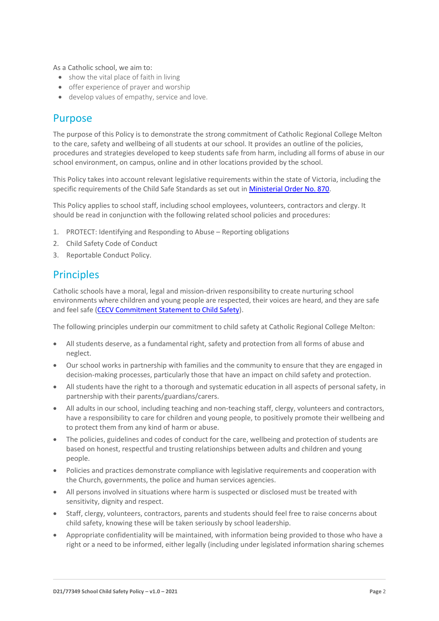As a Catholic school, we aim to:

- show the vital place of faith in living
- offer experience of prayer and worship
- develop values of empathy, service and love.

### Purpose

The purpose of this Policy is to demonstrate the strong commitment of Catholic Regional College Melton to the care, safety and wellbeing of all students at our school. It provides an outline of the policies, procedures and strategies developed to keep students safe from harm, including all forms of abuse in our school environment, on campus, online and in other locations provided by the school.

This Policy takes into account relevant legislative requirements within the state of Victoria, including the specific requirements of the Child Safe Standards as set out in [Ministerial Order No. 870.](http://www.gazette.vic.gov.au/gazette/Gazettes2016/GG2016S002.pdf)

This Policy applies to school staff, including school employees, volunteers, contractors and clergy. It should be read in conjunction with the following related school policies and procedures:

- 1. PROTECT: Identifying and Responding to Abuse Reporting obligations
- 2. Child Safety Code of Conduct
- 3. Reportable Conduct Policy.

### **Principles**

Catholic schools have a moral, legal and mission-driven responsibility to create nurturing school environments where children and young people are respected, their voices are heard, and they are safe and feel safe [\(CECV Commitment Statement to Child Safety\)](https://www.cecv.catholic.edu.au/getmedia/b5d43278-51b9-4704-b45a-f14e50546a70/Commitment-Statement-A4.aspx).

The following principles underpin our commitment to child safety at Catholic Regional College Melton:

- All students deserve, as a fundamental right, safety and protection from all forms of abuse and neglect.
- Our school works in partnership with families and the community to ensure that they are engaged in decision-making processes, particularly those that have an impact on child safety and protection.
- All students have the right to a thorough and systematic education in all aspects of personal safety, in partnership with their parents/guardians/carers.
- All adults in our school, including teaching and non-teaching staff, clergy, volunteers and contractors, have a responsibility to care for children and young people, to positively promote their wellbeing and to protect them from any kind of harm or abuse.
- The policies, guidelines and codes of conduct for the care, wellbeing and protection of students are based on honest, respectful and trusting relationships between adults and children and young people.
- Policies and practices demonstrate compliance with legislative requirements and cooperation with the Church, governments, the police and human services agencies.
- All persons involved in situations where harm is suspected or disclosed must be treated with sensitivity, dignity and respect.
- Staff, clergy, volunteers, contractors, parents and students should feel free to raise concerns about child safety, knowing these will be taken seriously by school leadership.
- Appropriate confidentiality will be maintained, with information being provided to those who have a right or a need to be informed, either legally (including under legislated information sharing schemes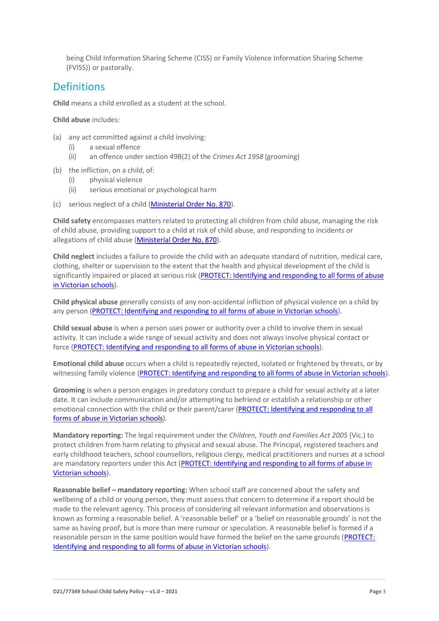being Child Information Sharing Scheme (CISS) or Family Violence Information Sharing Scheme (FVISS)) or pastorally.

### **Definitions**

**Child** means a child enrolled as a student at the school.

**Child abuse** includes:

- (a) any act committed against a child involving:
	- (i) a sexual offence
	- (ii) an offence under section 49B(2) of the *Crimes Act 1958* (grooming)
- (b) the infliction, on a child, of:
	- (i) physical violence
	- (ii) serious emotional or psychological harm
- (c) serious neglect of a child [\(Ministerial Order No. 870\)](http://www.gazette.vic.gov.au/gazette/Gazettes2016/GG2016S002.pdf).

**Child safety** encompasses matters related to protecting all children from child abuse, managing the risk of child abuse, providing support to a child at risk of child abuse, and responding to incidents or allegations of child abuse [\(Ministerial Order No. 870\)](http://www.gazette.vic.gov.au/gazette/Gazettes2016/GG2016S002.pdf).

**Child neglect** includes a failure to provide the child with an adequate standard of nutrition, medical care, clothing, shelter or supervision to the extent that the health and physical development of the child is significantly impaired or placed at serious risk (PROTECT: Identifying and responding to all forms of abuse [in Victorian schools\)](http://www.cecv.catholic.edu.au/getmedia/ebe135a4-d1b3-48a0-81fe-50d4fc451bcd/Identifying-and-Responding-to-All-Forms-of-Abuse.aspx#page%3D27).

**Child physical abuse** generally consists of any non-accidental infliction of physical violence on a child by any person [\(PROTECT: Identifying and responding to all forms of abuse in Victorian schools\)](https://www.cecv.catholic.edu.au/getmedia/ebe135a4-d1b3-48a0-81fe-50d4fc451bcd/Identifying-and-Responding-to-All-Forms-of-Abuse.aspx#page%3D15).

**Child sexual abuse** is when a person uses power or authority over a child to involve them in sexual activity. It can include a wide range of sexual activity and does not always involve physical contact or force [\(PROTECT: Identifying and responding to all](https://www.cecv.catholic.edu.au/getmedia/ebe135a4-d1b3-48a0-81fe-50d4fc451bcd/Identifying-and-Responding-to-All-Forms-of-Abuse.aspx#page%3D17) forms of abuse in Victorian schools).

**Emotional child abuse** occurs when a child is repeatedly rejected, isolated or frightened by threats, or by witnessing family violence [\(PROTECT: Identifying and responding to all forms of abuse in Victorian schools\)](https://www.cecv.catholic.edu.au/getmedia/ebe135a4-d1b3-48a0-81fe-50d4fc451bcd/Identifying-and-Responding-to-All-Forms-of-Abuse.aspx#page%3D26).

**Grooming** is when a person engages in predatory conduct to prepare a child for sexual activity at a later date. It can include communication and/or attempting to befriend or establish a relationship or other emotional connection with the child or their parent/carer [\(PROTECT: Identifying and responding to all](https://www.cecv.catholic.edu.au/getmedia/ebe135a4-d1b3-48a0-81fe-50d4fc451bcd/Identifying-and-Responding-to-All-Forms-of-Abuse.aspx#page%3D20)  [forms of abuse in Victorian schools\)](https://www.cecv.catholic.edu.au/getmedia/ebe135a4-d1b3-48a0-81fe-50d4fc451bcd/Identifying-and-Responding-to-All-Forms-of-Abuse.aspx#page%3D20).

**Mandatory reporting:** The legal requirement under the *Children, Youth and Families Act 2005* (Vic.) to protect children from harm relating to physical and sexual abuse. The Principal, registered teachers and early childhood teachers, school counsellors, religious clergy, medical practitioners and nurses at a school are mandatory reporters under this Act [\(PROTECT: Identifying and responding to all forms of abuse in](http://www.cecv.catholic.edu.au/getmedia/ebe135a4-d1b3-48a0-81fe-50d4fc451bcd/Identifying-and-Responding-to-All-Forms-of-Abuse.aspx#page%3D8)  [Victorian schools\)](http://www.cecv.catholic.edu.au/getmedia/ebe135a4-d1b3-48a0-81fe-50d4fc451bcd/Identifying-and-Responding-to-All-Forms-of-Abuse.aspx#page%3D8).

**Reasonable belief – mandatory reporting:** When school staff are concerned about the safety and wellbeing of a child or young person, they must assess that concern to determine if a report should be made to the relevant agency. This process of considering all relevant information and observations is known as forming a reasonable belief. A 'reasonable belief' or a 'belief on reasonable grounds' is not the same as having proof, but is more than mere rumour or speculation. A reasonable belief is formed if a reasonable person in the same position would have formed the belief on the same grounds [\(PROTECT:](http://www.cecv.catholic.edu.au/getmedia/ebe135a4-d1b3-48a0-81fe-50d4fc451bcd/Identifying-and-Responding-to-All-Forms-of-Abuse.aspx#page%3D35)  [Identifying and responding to all forms of abuse in Victorian schools\)](http://www.cecv.catholic.edu.au/getmedia/ebe135a4-d1b3-48a0-81fe-50d4fc451bcd/Identifying-and-Responding-to-All-Forms-of-Abuse.aspx#page%3D35).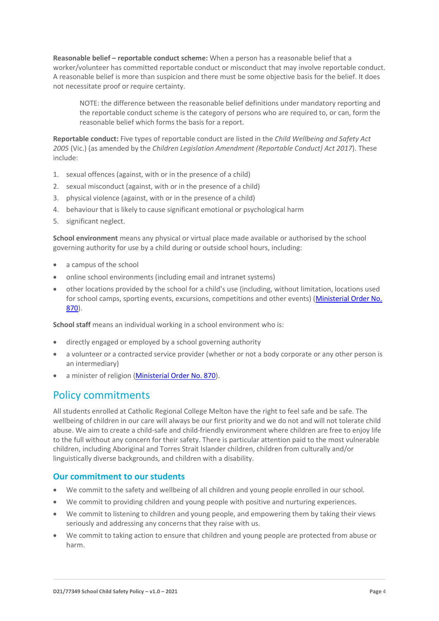**Reasonable belief – reportable conduct scheme:** When a person has a reasonable belief that a worker/volunteer has committed reportable conduct or misconduct that may involve reportable conduct. A reasonable belief is more than suspicion and there must be some objective basis for the belief. It does not necessitate proof or require certainty.

NOTE: the difference between the reasonable belief definitions under mandatory reporting and the reportable conduct scheme is the category of persons who are required to, or can, form the reasonable belief which forms the basis for a report.

**Reportable conduct:** Five types of reportable conduct are listed in the *Child Wellbeing and Safety Act 2005* (Vic.) (as amended by the *Children Legislation Amendment (Reportable Conduct) Act 2017*). These include:

- 1. sexual offences (against, with or in the presence of a child)
- 2. sexual misconduct (against, with or in the presence of a child)
- 3. physical violence (against, with or in the presence of a child)
- 4. behaviour that is likely to cause significant emotional or psychological harm
- 5. significant neglect.

**School environment** means any physical or virtual place made available or authorised by the school governing authority for use by a child during or outside school hours, including:

- a campus of the school
- online school environments (including email and intranet systems)
- other locations provided by the school for a child's use (including, without limitation, locations used for school camps, sporting events, excursions, competitions and other events) [\(Ministerial Order No.](http://www.gazette.vic.gov.au/gazette/Gazettes2016/GG2016S002.pdf)  [870\)](http://www.gazette.vic.gov.au/gazette/Gazettes2016/GG2016S002.pdf).

**School staff** means an individual working in a school environment who is:

- directly engaged or employed by a school governing authority
- a volunteer or a contracted service provider (whether or not a body corporate or any other person is an intermediary)
- a minister of religio[n \(Ministerial Order No. 870\)](http://www.gazette.vic.gov.au/gazette/Gazettes2016/GG2016S002.pdf).

## Policy commitments

All students enrolled at Catholic Regional College Melton have the right to feel safe and be safe. The wellbeing of children in our care will always be our first priority and we do not and will not tolerate child abuse. We aim to create a child-safe and child-friendly environment where children are free to enjoy life to the full without any concern for their safety. There is particular attention paid to the most vulnerable children, including Aboriginal and Torres Strait Islander children, children from culturally and/or linguistically diverse backgrounds, and children with a disability.

#### **Our commitment to our students**

- We commit to the safety and wellbeing of all children and young people enrolled in our school.
- We commit to providing children and young people with positive and nurturing experiences.
- We commit to listening to children and young people, and empowering them by taking their views seriously and addressing any concerns that they raise with us.
- We commit to taking action to ensure that children and young people are protected from abuse or harm.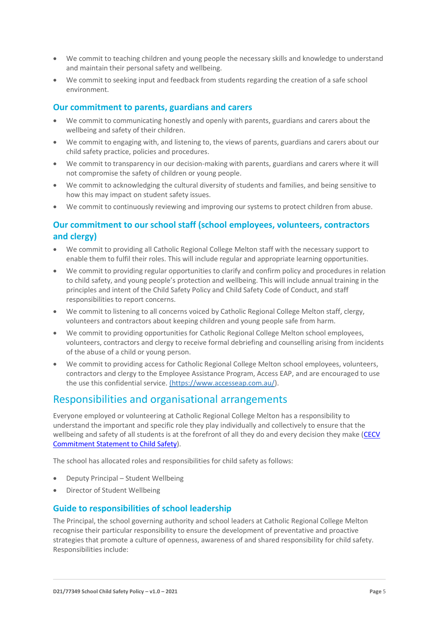- We commit to teaching children and young people the necessary skills and knowledge to understand and maintain their personal safety and wellbeing.
- We commit to seeking input and feedback from students regarding the creation of a safe school environment.

#### **Our commitment to parents, guardians and carers**

- We commit to communicating honestly and openly with parents, guardians and carers about the wellbeing and safety of their children.
- We commit to engaging with, and listening to, the views of parents, guardians and carers about our child safety practice, policies and procedures.
- We commit to transparency in our decision-making with parents, guardians and carers where it will not compromise the safety of children or young people.
- We commit to acknowledging the cultural diversity of students and families, and being sensitive to how this may impact on student safety issues.
- We commit to continuously reviewing and improving our systems to protect children from abuse.

#### **Our commitment to our school staff (school employees, volunteers, contractors and clergy)**

- We commit to providing all Catholic Regional College Melton staff with the necessary support to enable them to fulfil their roles. This will include regular and appropriate learning opportunities.
- We commit to providing regular opportunities to clarify and confirm policy and procedures in relation to child safety, and young people's protection and wellbeing. This will include annual training in the principles and intent of the Child Safety Policy and Child Safety Code of Conduct, and staff responsibilities to report concerns.
- We commit to listening to all concerns voiced by Catholic Regional College Melton staff, clergy, volunteers and contractors about keeping children and young people safe from harm.
- We commit to providing opportunities for Catholic Regional College Melton school employees, volunteers, contractors and clergy to receive formal debriefing and counselling arising from incidents of the abuse of a child or young person.
- We commit to providing access for Catholic Regional College Melton school employees, volunteers, contractors and clergy to the Employee Assistance Program, Access EAP, and are encouraged to use the use this confidential service. [\(https://www.accesseap.com.au/\)](https://www.accesseap.com.au/).

### Responsibilities and organisational arrangements

Everyone employed or volunteering at Catholic Regional College Melton has a responsibility to understand the important and specific role they play individually and collectively to ensure that the wellbeing and safety of all students is at the forefront of all they do and every decision they make [\(CECV](https://www.cecv.catholic.edu.au/getmedia/b5d43278-51b9-4704-b45a-f14e50546a70/Commitment-Statement-A4.aspx)  [Commitment Statement to Child Safety\)](https://www.cecv.catholic.edu.au/getmedia/b5d43278-51b9-4704-b45a-f14e50546a70/Commitment-Statement-A4.aspx).

The school has allocated roles and responsibilities for child safety as follows:

- Deputy Principal Student Wellbeing
- Director of Student Wellbeing

#### **Guide to responsibilities of school leadership**

The Principal, the school governing authority and school leaders at Catholic Regional College Melton recognise their particular responsibility to ensure the development of preventative and proactive strategies that promote a culture of openness, awareness of and shared responsibility for child safety. Responsibilities include: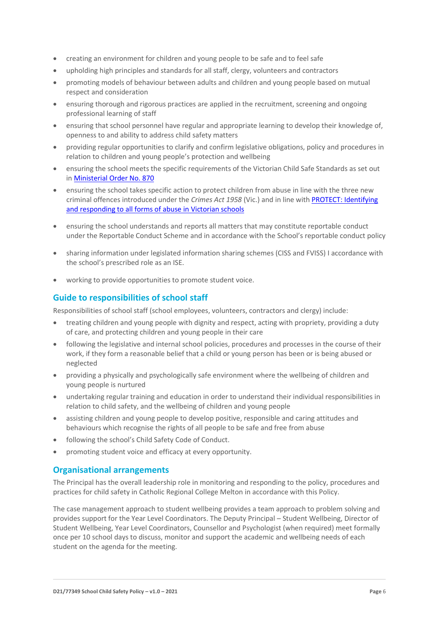- creating an environment for children and young people to be safe and to feel safe
- upholding high principles and standards for all staff, clergy, volunteers and contractors
- promoting models of behaviour between adults and children and young people based on mutual respect and consideration
- ensuring thorough and rigorous practices are applied in the recruitment, screening and ongoing professional learning of staff
- ensuring that school personnel have regular and appropriate learning to develop their knowledge of, openness to and ability to address child safety matters
- providing regular opportunities to clarify and confirm legislative obligations, policy and procedures in relation to children and young people's protection and wellbeing
- ensuring the school meets the specific requirements of the Victorian Child Safe Standards as set out in [Ministerial Order No. 870](http://www.gazette.vic.gov.au/gazette/Gazettes2016/GG2016S002.pdf)
- ensuring the school takes specific action to protect children from abuse in line with the three new criminal offences introduced under the *Crimes Act 1958* (Vic.) and in line wit[h PROTECT: Identifying](http://www.cecv.catholic.edu.au/getmedia/ebe135a4-d1b3-48a0-81fe-50d4fc451bcd/Identifying-and-Responding-to-All-Forms-of-Abuse.aspx)  [and responding to all forms of abuse in Victorian schools](http://www.cecv.catholic.edu.au/getmedia/ebe135a4-d1b3-48a0-81fe-50d4fc451bcd/Identifying-and-Responding-to-All-Forms-of-Abuse.aspx)
- ensuring the school understands and reports all matters that may constitute reportable conduct under the Reportable Conduct Scheme and in accordance with the School's reportable conduct policy
- sharing information under legislated information sharing schemes (CISS and FVISS) I accordance with the school's prescribed role as an ISE.
- working to provide opportunities to promote student voice.

#### **Guide to responsibilities of school staff**

Responsibilities of school staff (school employees, volunteers, contractors and clergy) include:

- treating children and young people with dignity and respect, acting with propriety, providing a duty of care, and protecting children and young people in their care
- following the legislative and internal school policies, procedures and processes in the course of their work, if they form a reasonable belief that a child or young person has been or is being abused or neglected
- providing a physically and psychologically safe environment where the wellbeing of children and young people is nurtured
- undertaking regular training and education in order to understand their individual responsibilities in relation to child safety, and the wellbeing of children and young people
- assisting children and young people to develop positive, responsible and caring attitudes and behaviours which recognise the rights of all people to be safe and free from abuse
- following the school's Child Safety Code of Conduct.
- promoting student voice and efficacy at every opportunity.

#### **Organisational arrangements**

The Principal has the overall leadership role in monitoring and responding to the policy, procedures and practices for child safety in Catholic Regional College Melton in accordance with this Policy.

The case management approach to student wellbeing provides a team approach to problem solving and provides support for the Year Level Coordinators. The Deputy Principal – Student Wellbeing, Director of Student Wellbeing, Year Level Coordinators, Counsellor and Psychologist (when required) meet formally once per 10 school days to discuss, monitor and support the academic and wellbeing needs of each student on the agenda for the meeting.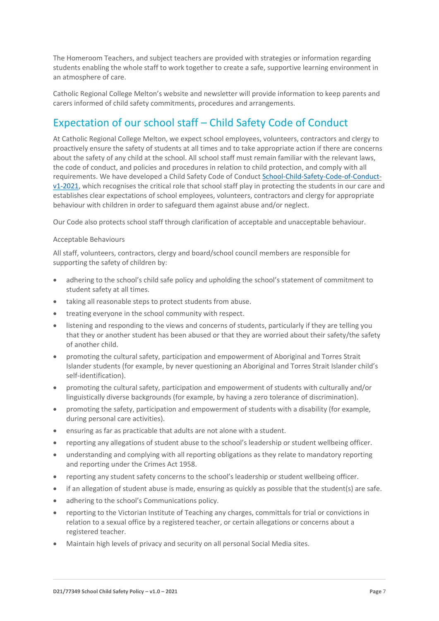The Homeroom Teachers, and subject teachers are provided with strategies or information regarding students enabling the whole staff to work together to create a safe, supportive learning environment in an atmosphere of care.

Catholic Regional College Melton's website and newsletter will provide information to keep parents and carers informed of child safety commitments, procedures and arrangements.

## Expectation of our school staff – Child Safety Code of Conduct

At Catholic Regional College Melton, we expect school employees, volunteers, contractors and clergy to proactively ensure the safety of students at all times and to take appropriate action if there are concerns about the safety of any child at the school. All school staff must remain familiar with the relevant laws, the code of conduct, and policies and procedures in relation to child protection, and comply with all requirements. We have developed a Child Safety Code of Conduct [School-Child-Safety-Code-of-Conduct](School-Child-Safety-Code-of-Conduct-v1-2021.pdf)[v1-2021,](School-Child-Safety-Code-of-Conduct-v1-2021.pdf) which recognises the critical role that school staff play in protecting the students in our care and establishes clear expectations of school employees, volunteers, contractors and clergy for appropriate behaviour with children in order to safeguard them against abuse and/or neglect.

Our Code also protects school staff through clarification of acceptable and unacceptable behaviour.

#### Acceptable Behaviours

All staff, volunteers, contractors, clergy and board/school council members are responsible for supporting the safety of children by:

- adhering to the school's child safe policy and upholding the school's statement of commitment to student safety at all times.
- taking all reasonable steps to protect students from abuse.
- treating everyone in the school community with respect.
- listening and responding to the views and concerns of students, particularly if they are telling you that they or another student has been abused or that they are worried about their safety/the safety of another child.
- promoting the cultural safety, participation and empowerment of Aboriginal and Torres Strait Islander students (for example, by never questioning an Aboriginal and Torres Strait Islander child's self-identification).
- promoting the cultural safety, participation and empowerment of students with culturally and/or linguistically diverse backgrounds (for example, by having a zero tolerance of discrimination).
- promoting the safety, participation and empowerment of students with a disability (for example, during personal care activities).
- ensuring as far as practicable that adults are not alone with a student.
- reporting any allegations of student abuse to the school's leadership or student wellbeing officer.
- understanding and complying with all reporting obligations as they relate to mandatory reporting and reporting under the Crimes Act 1958.
- reporting any student safety concerns to the school's leadership or student wellbeing officer.
- if an allegation of student abuse is made, ensuring as quickly as possible that the student(s) are safe.
- adhering to the school's Communications policy.
- reporting to the Victorian Institute of Teaching any charges, committals for trial or convictions in relation to a sexual office by a registered teacher, or certain allegations or concerns about a registered teacher.
- Maintain high levels of privacy and security on all personal Social Media sites.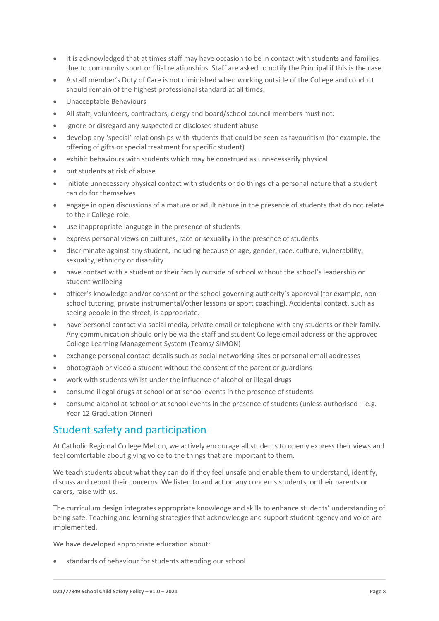- It is acknowledged that at times staff may have occasion to be in contact with students and families due to community sport or filial relationships. Staff are asked to notify the Principal if this is the case.
- A staff member's Duty of Care is not diminished when working outside of the College and conduct should remain of the highest professional standard at all times.
- Unacceptable Behaviours
- All staff, volunteers, contractors, clergy and board/school council members must not:
- ignore or disregard any suspected or disclosed student abuse
- develop any 'special' relationships with students that could be seen as favouritism (for example, the offering of gifts or special treatment for specific student)
- exhibit behaviours with students which may be construed as unnecessarily physical
- put students at risk of abuse
- initiate unnecessary physical contact with students or do things of a personal nature that a student can do for themselves
- engage in open discussions of a mature or adult nature in the presence of students that do not relate to their College role.
- use inappropriate language in the presence of students
- express personal views on cultures, race or sexuality in the presence of students
- discriminate against any student, including because of age, gender, race, culture, vulnerability, sexuality, ethnicity or disability
- have contact with a student or their family outside of school without the school's leadership or student wellbeing
- officer's knowledge and/or consent or the school governing authority's approval (for example, nonschool tutoring, private instrumental/other lessons or sport coaching). Accidental contact, such as seeing people in the street, is appropriate.
- have personal contact via social media, private email or telephone with any students or their family. Any communication should only be via the staff and student College email address or the approved College Learning Management System (Teams/ SIMON)
- exchange personal contact details such as social networking sites or personal email addresses
- photograph or video a student without the consent of the parent or guardians
- work with students whilst under the influence of alcohol or illegal drugs
- consume illegal drugs at school or at school events in the presence of students
- consume alcohol at school or at school events in the presence of students (unless authorised  $-e.g.$ Year 12 Graduation Dinner)

## Student safety and participation

At Catholic Regional College Melton, we actively encourage all students to openly express their views and feel comfortable about giving voice to the things that are important to them.

We teach students about what they can do if they feel unsafe and enable them to understand, identify, discuss and report their concerns. We listen to and act on any concerns students, or their parents or carers, raise with us.

The curriculum design integrates appropriate knowledge and skills to enhance students' understanding of being safe. Teaching and learning strategies that acknowledge and support student agency and voice are implemented.

We have developed appropriate education about:

• standards of behaviour for students attending our school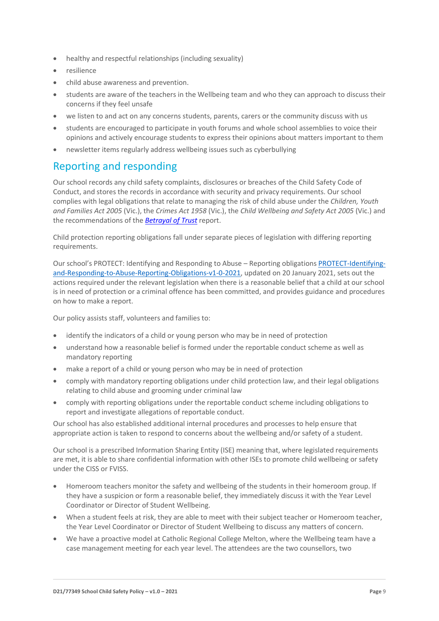- healthy and respectful relationships (including sexuality)
- resilience
- child abuse awareness and prevention.
- students are aware of the teachers in the Wellbeing team and who they can approach to discuss their concerns if they feel unsafe
- we listen to and act on any concerns students, parents, carers or the community discuss with us
- students are encouraged to participate in youth forums and whole school assemblies to voice their opinions and actively encourage students to express their opinions about matters important to them
- newsletter items regularly address wellbeing issues such as cyberbullying

## Reporting and responding

Our school records any child safety complaints, disclosures or breaches of the Child Safety Code of Conduct, and stores the records in accordance with security and privacy requirements. Our school complies with legal obligations that relate to managing the risk of child abuse under the *Children, Youth and Families Act 2005* (Vic.), the *Crimes Act 1958* (Vic.), the *Child Wellbeing and Safety Act 2005* (Vic.) and the recommendations of the *[Betrayal of Trust](http://www.parliament.vic.gov.au/fcdc/article/1788)* report.

Child protection reporting obligations fall under separate pieces of legislation with differing reporting requirements.

Our school's PROTECT: Identifying and Responding to Abuse – Reporting obligations [PROTECT-Identifying](PROTECT-Identifying-and-Responding-to-Abuse-Reporting-Obligations-v1-0-2021.pdf)[and-Responding-to-Abuse-Reporting-Obligations-v1-0-2021,](PROTECT-Identifying-and-Responding-to-Abuse-Reporting-Obligations-v1-0-2021.pdf) updated on 20 January 2021, sets out the actions required under the relevant legislation when there is a reasonable belief that a child at our school is in need of protection or a criminal offence has been committed, and provides guidance and procedures on how to make a report.

Our policy assists staff, volunteers and families to:

- identify the indicators of a child or young person who may be in need of protection
- understand how a reasonable belief is formed under the reportable conduct scheme as well as mandatory reporting
- make a report of a child or young person who may be in need of protection
- comply with mandatory reporting obligations under child protection law, and their legal obligations relating to child abuse and grooming under criminal law
- comply with reporting obligations under the reportable conduct scheme including obligations to report and investigate allegations of reportable conduct.

Our school has also established additional internal procedures and processes to help ensure that appropriate action is taken to respond to concerns about the wellbeing and/or safety of a student.

Our school is a prescribed Information Sharing Entity (ISE) meaning that, where legislated requirements are met, it is able to share confidential information with other ISEs to promote child wellbeing or safety under the CISS or FVISS.

- Homeroom teachers monitor the safety and wellbeing of the students in their homeroom group. If they have a suspicion or form a reasonable belief, they immediately discuss it with the Year Level Coordinator or Director of Student Wellbeing.
- When a student feels at risk, they are able to meet with their subject teacher or Homeroom teacher, the Year Level Coordinator or Director of Student Wellbeing to discuss any matters of concern.
- We have a proactive model at Catholic Regional College Melton, where the Wellbeing team have a case management meeting for each year level. The attendees are the two counsellors, two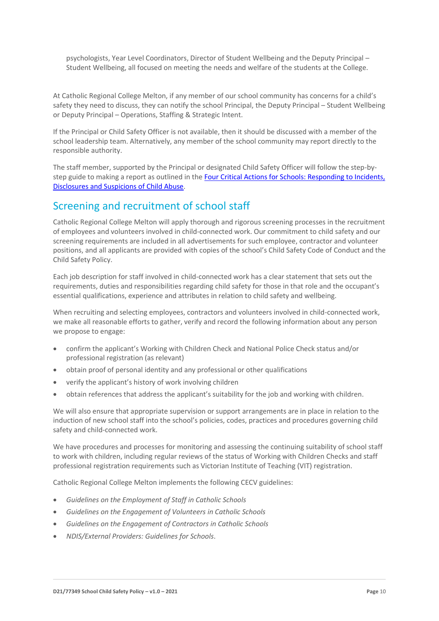psychologists, Year Level Coordinators, Director of Student Wellbeing and the Deputy Principal – Student Wellbeing, all focused on meeting the needs and welfare of the students at the College.

At Catholic Regional College Melton, if any member of our school community has concerns for a child's safety they need to discuss, they can notify the school Principal, the Deputy Principal – Student Wellbeing or Deputy Principal – Operations, Staffing & Strategic Intent.

If the Principal or Child Safety Officer is not available, then it should be discussed with a member of the school leadership team. Alternatively, any member of the school community may report directly to the responsible authority.

The staff member, supported by the Principal or designated Child Safety Officer will follow the step-bystep guide to making a report as outlined in the [Four Critical Actions for Schools: Responding to Incidents,](https://www.education.vic.gov.au/Documents/about/programs/health/protect/FourCriticalActions_ChildAbuse.pdf)  [Disclosures and Suspicions of Child Abuse.](https://www.education.vic.gov.au/Documents/about/programs/health/protect/FourCriticalActions_ChildAbuse.pdf)

## Screening and recruitment of school staff

Catholic Regional College Melton will apply thorough and rigorous screening processes in the recruitment of employees and volunteers involved in child-connected work. Our commitment to child safety and our screening requirements are included in all advertisements for such employee, contractor and volunteer positions, and all applicants are provided with copies of the school's Child Safety Code of Conduct and the Child Safety Policy.

Each job description for staff involved in child-connected work has a clear statement that sets out the requirements, duties and responsibilities regarding child safety for those in that role and the occupant's essential qualifications, experience and attributes in relation to child safety and wellbeing.

When recruiting and selecting employees, contractors and volunteers involved in child-connected work, we make all reasonable efforts to gather, verify and record the following information about any person we propose to engage:

- confirm the applicant's Working with Children Check and National Police Check status and/or professional registration (as relevant)
- obtain proof of personal identity and any professional or other qualifications
- verify the applicant's history of work involving children
- obtain references that address the applicant's suitability for the job and working with children.

We will also ensure that appropriate supervision or support arrangements are in place in relation to the induction of new school staff into the school's policies, codes, practices and procedures governing child safety and child-connected work.

We have procedures and processes for monitoring and assessing the continuing suitability of school staff to work with children, including regular reviews of the status of Working with Children Checks and staff professional registration requirements such as Victorian Institute of Teaching (VIT) registration.

Catholic Regional College Melton implements the following CECV guidelines:

- *Guidelines on the Employment of Staff in Catholic Schools*
- *Guidelines on the Engagement of Volunteers in Catholic Schools*
- *Guidelines on the Engagement of Contractors in Catholic Schools*
- *NDIS/External Providers: Guidelines for Schools*.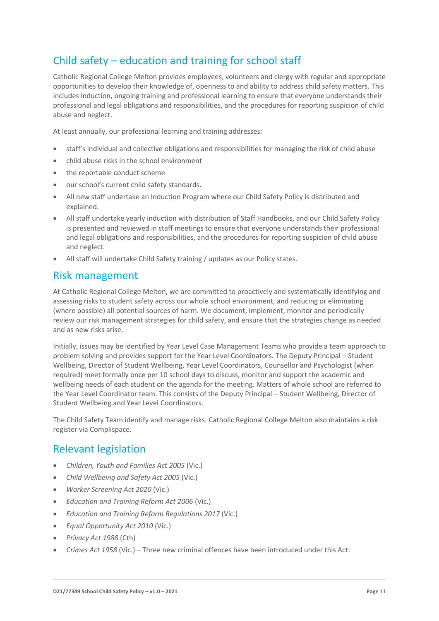## Child safety – education and training for school staff

Catholic Regional College Melton provides employees, volunteers and clergy with regular and appropriate opportunities to develop their knowledge of, openness to and ability to address child safety matters. This includes induction, ongoing training and professional learning to ensure that everyone understands their professional and legal obligations and responsibilities, and the procedures for reporting suspicion of child abuse and neglect.

At least annually, our professional learning and training addresses:

- staff's individual and collective obligations and responsibilities for managing the risk of child abuse
- child abuse risks in the school environment
- the reportable conduct scheme
- our school's current child safety standards.
- All new staff undertake an Induction Program where our Child Safety Policy is distributed and explained.
- All staff undertake yearly induction with distribution of Staff Handbooks, and our Child Safety Policy is presented and reviewed in staff meetings to ensure that everyone understands their professional and legal obligations and responsibilities, and the procedures for reporting suspicion of child abuse and neglect.
- All staff will undertake Child Safety training / updates as our Policy states.

### Risk management

At Catholic Regional College Melton, we are committed to proactively and systematically identifying and assessing risks to student safety across our whole school environment, and reducing or eliminating (where possible) all potential sources of harm. We document, implement, monitor and periodically review our risk management strategies for child safety, and ensure that the strategies change as needed and as new risks arise.

Initially, issues may be identified by Year Level Case Management Teams who provide a team approach to problem solving and provides support for the Year Level Coordinators. The Deputy Principal – Student Wellbeing, Director of Student Wellbeing, Year Level Coordinators, Counsellor and Psychologist (when required) meet formally once per 10 school days to discuss, monitor and support the academic and wellbeing needs of each student on the agenda for the meeting. Matters of whole school are referred to the Year Level Coordinator team. This consists of the Deputy Principal – Student Wellbeing, Director of Student Wellbeing and Year Level Coordinators.

The Child Safety Team identify and manage risks. Catholic Regional College Melton also maintains a risk register via Complispace.

## Relevant legislation

- *Children, Youth and Families Act 2005* (Vic.)
- *Child Wellbeing and Safety Act 2005* (Vic.)
- *Worker Screening Act 2020* (Vic.)
- *Education and Training Reform Act 2006* (Vic.)
- *Education and Training Reform Regulations 2017* (Vic.)
- *Equal Opportunity Act 2010* (Vic.)
- *Privacy Act 1988* (Cth)
- *Crimes Act 1958* (Vic.) Three new criminal offences have been introduced under this Act: